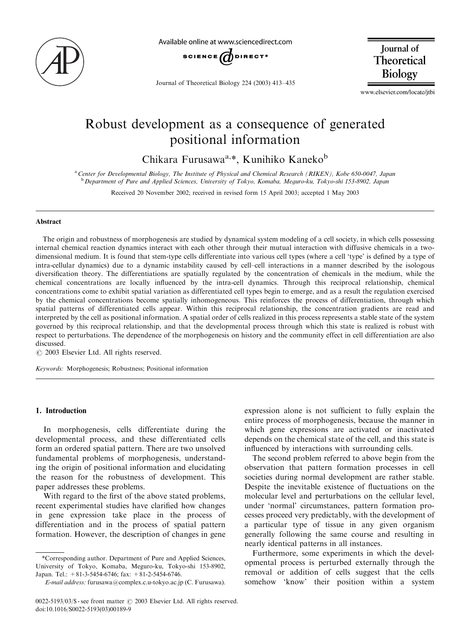

Available online at www.sciencedirect.com



Journal of Theoretical Biology

Journal of Theoretical Biology 224 (2003) 413–435

www.elsevier.com/locate/jtbi

# Robust development as a consequence of generated positional information

Chikara Furusawa<sup>a,\*</sup>, Kunihiko Kaneko<sup>b</sup>

a Center for Developmental Biology, The Institute of Physical and Chemical Research (RIKEN), Kobe 650-0047, Japan <sup>b</sup> Department of Pure and Applied Sciences, University of Tokyo, Komaba, Meguro-ku, Tokyo-shi 153-8902, Japan

Received 20 November 2002; received in revised form 15 April 2003; accepted 1 May 2003

#### Abstract

The origin and robustness of morphogenesis are studied by dynamical system modeling of a cell society, in which cells possessing internal chemical reaction dynamics interact with each other through their mutual interaction with diffusive chemicals in a twodimensional medium. It is found that stem-type cells differentiate into various cell types (where a cell 'type' is defined by a type of intra-cellular dynamics) due to a dynamic instability caused by cell–cell interactions in a manner described by the isologous diversification theory. The differentiations are spatially regulated by the concentration of chemicals in the medium, while the chemical concentrations are locally influenced by the intra-cell dynamics. Through this reciprocal relationship, chemical concentrations come to exhibit spatial variation as differentiated cell types begin to emerge, and as a result the regulation exercised by the chemical concentrations become spatially inhomogeneous. This reinforces the process of differentiation, through which spatial patterns of differentiated cells appear. Within this reciprocal relationship, the concentration gradients are read and interpreted by the cell as positional information. A spatial order of cells realized in this process represents a stable state of the system governed by this reciprocal relationship, and that the developmental process through which this state is realized is robust with respect to perturbations. The dependence of the morphogenesis on history and the community effect in cell differentiation are also discussed.

 $\odot$  2003 Elsevier Ltd. All rights reserved.

Keywords: Morphogenesis; Robustness; Positional information

# 1. Introduction

In morphogenesis, cells differentiate during the developmental process, and these differentiated cells form an ordered spatial pattern. There are two unsolved fundamental problems of morphogenesis, understanding the origin of positional information and elucidating the reason for the robustness of development. This paper addresses these problems.

With regard to the first of the above stated problems, recent experimental studies have clarified how changes in gene expression take place in the process of differentiation and in the process of spatial pattern formation. However, the description of changes in gene expression alone is not sufficient to fully explain the entire process of morphogenesis, because the manner in which gene expressions are activated or inactivated depends on the chemical state of the cell, and this state is influenced by interactions with surrounding cells.

The second problem referred to above begin from the observation that pattern formation processes in cell societies during normal development are rather stable. Despite the inevitable existence of fluctuations on the molecular level and perturbations on the cellular level, under 'normal' circumstances, pattern formation processes proceed very predictably, with the development of a particular type of tissue in any given organism generally following the same course and resulting in nearly identical patterns in all instances.

Furthermore, some experiments in which the developmental process is perturbed externally through the removal or addition of cells suggest that the cells somehow 'know' their position within a system

<sup>\*</sup>Corresponding author. Department of Pure and Applied Sciences, University of Tokyo, Komaba, Meguro-ku, Tokyo-shi 153-8902, Japan. Tel.:  $+81-3-5454-6746$ : fax:  $+81-2-5454-6746$ .

E-mail address: furusawa@complex.c.u-tokyo.ac.jp (C. Furusawa).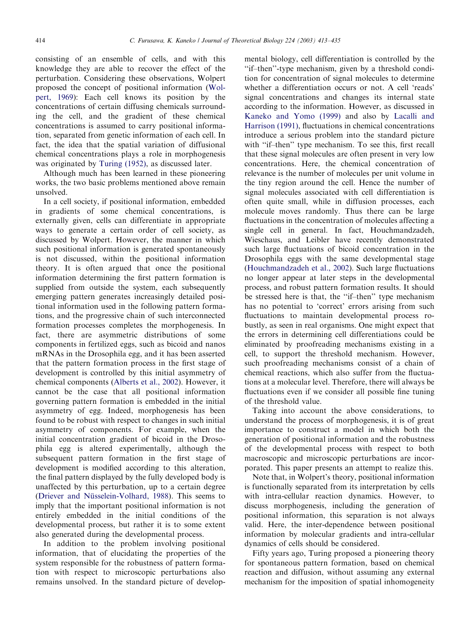consisting of an ensemble of cells, and with this knowledge they are able to recover the effect of the perturbation. Considering these observations, Wolpert proposed the concept of positional information [\(Wol](#page-22-0)[pert, 1969](#page-22-0)): Each cell knows its position by the concentrations of certain diffusing chemicals surrounding the cell, and the gradient of these chemical concentrations is assumed to carry positional information, separated from genetic information of each cell. In fact, the idea that the spatial variation of diffusional chemical concentrations plays a role in morphogenesis was originated by [Turing \(1952\),](#page-22-0) as discussed later.

Although much has been learned in these pioneering works, the two basic problems mentioned above remain unsolved.

In a cell society, if positional information, embedded in gradients of some chemical concentrations, is externally given, cells can differentiate in appropriate ways to generate a certain order of cell society, as discussed by Wolpert. However, the manner in which such positional information is generated spontaneously is not discussed, within the positional information theory. It is often argued that once the positional information determining the first pattern formation is supplied from outside the system, each subsequently emerging pattern generates increasingly detailed positional information used in the following pattern formations, and the progressive chain of such interconnected formation processes completes the morphogenesis. In fact, there are asymmetric distributions of some components in fertilized eggs, such as bicoid and nanos mRNAs in the Drosophila egg, and it has been asserted that the pattern formation process in the first stage of development is controlled by this initial asymmetry of chemical components [\(Alberts et al., 2002\)](#page-21-0). However, it cannot be the case that all positional information governing pattern formation is embedded in the initial asymmetry of egg. Indeed, morphogenesis has been found to be robust with respect to changes in such initial asymmetry of components. For example, when the initial concentration gradient of bicoid in the Drosophila egg is altered experimentally, although the subsequent pattern formation in the first stage of development is modified according to this alteration, the final pattern displayed by the fully developed body is unaffected by this perturbation, up to a certain degree (Driever and Nüsselein-Volhard, 1988). This seems to imply that the important positional information is not entirely embedded in the initial conditions of the developmental process, but rather it is to some extent also generated during the developmental process.

In addition to the problem involving positional information, that of elucidating the properties of the system responsible for the robustness of pattern formation with respect to microscopic perturbations also remains unsolved. In the standard picture of developmental biology, cell differentiation is controlled by the ''if–then''-type mechanism, given by a threshold condition for concentration of signal molecules to determine whether a differentiation occurs or not. A cell 'reads' signal concentrations and changes its internal state according to the information. However, as discussed in [Kaneko and Yomo \(1999\)](#page-21-0) and also by [Lacalli and](#page-22-0) [Harrison \(1991\),](#page-22-0) fluctuations in chemical concentrations introduce a serious problem into the standard picture with "if-then" type mechanism. To see this, first recall that these signal molecules are often present in very low concentrations. Here, the chemical concentration of relevance is the number of molecules per unit volume in the tiny region around the cell. Hence the number of signal molecules associated with cell differentiation is often quite small, while in diffusion processes, each molecule moves randomly. Thus there can be large fluctuations in the concentration of molecules affecting a single cell in general. In fact, Houchmandzadeh, Wieschaus, and Leibler have recently demonstrated such large fluctuations of bicoid concentration in the Drosophila eggs with the same developmental stage [\(Houchmandzadeh et al., 2002](#page-21-0)). Such large fluctuations no longer appear at later steps in the developmental process, and robust pattern formation results. It should be stressed here is that, the ''if–then'' type mechanism has no potential to 'correct' errors arising from such fluctuations to maintain developmental process robustly, as seen in real organisms. One might expect that the errors in determining cell differentiations could be eliminated by proofreading mechanisms existing in a cell, to support the threshold mechanism. However, such proofreading mechanisms consist of a chain of chemical reactions, which also suffer from the fluctuations at a molecular level. Therefore, there will always be fluctuations even if we consider all possible fine tuning of the threshold value.

Taking into account the above considerations, to understand the process of morphogenesis, it is of great importance to construct a model in which both the generation of positional information and the robustness of the developmental process with respect to both macroscopic and microscopic perturbations are incorporated. This paper presents an attempt to realize this.

Note that, in Wolpert's theory, positional information is functionally separated from its interpretation by cells with intra-cellular reaction dynamics. However, to discuss morphogenesis, including the generation of positional information, this separation is not always valid. Here, the inter-dependence between positional information by molecular gradients and intra-cellular dynamics of cells should be considered.

Fifty years ago, Turing proposed a pioneering theory for spontaneous pattern formation, based on chemical reaction and diffusion, without assuming any external mechanism for the imposition of spatial inhomogeneity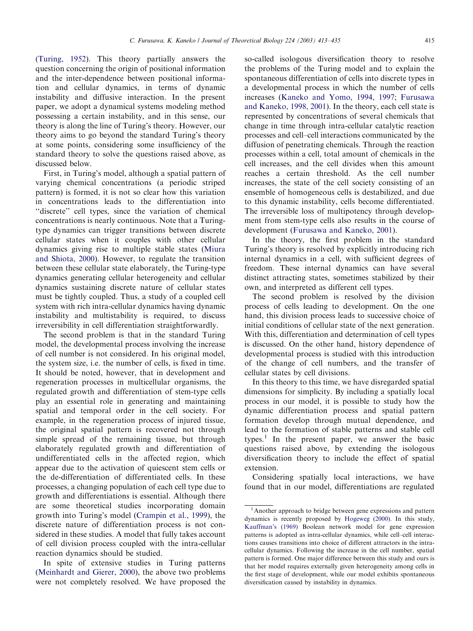[\(Turing, 1952](#page-22-0)). This theory partially answers the question concerning the origin of positional information and the inter-dependence between positional information and cellular dynamics, in terms of dynamic instability and diffusive interaction. In the present paper, we adopt a dynamical systems modeling method possessing a certain instability, and in this sense, our theory is along the line of Turing's theory. However, our theory aims to go beyond the standard Turing's theory at some points, considering some insufficiency of the standard theory to solve the questions raised above, as discussed below.

First, in Turing's model, although a spatial pattern of varying chemical concentrations (a periodic striped pattern) is formed, it is not so clear how this variation in concentrations leads to the differentiation into ''discrete'' cell types, since the variation of chemical concentrations is nearly continuous. Note that a Turingtype dynamics can trigger transitions between discrete cellular states when it couples with other cellular dynamics giving rise to multiple stable states [\(Miura](#page-22-0) [and Shiota, 2000](#page-22-0)). However, to regulate the transition between these cellular state elaborately, the Turing-type dynamics generating cellular heterogeneity and cellular dynamics sustaining discrete nature of cellular states must be tightly coupled. Thus, a study of a coupled cell system with rich intra-cellular dynamics having dynamic instability and multistability is required, to discuss irreversibility in cell differentiation straightforwardly.

The second problem is that in the standard Turing model, the developmental process involving the increase of cell number is not considered. In his original model, the system size, i.e. the number of cells, is fixed in time. It should be noted, however, that in development and regeneration processes in multicellular organisms, the regulated growth and differentiation of stem-type cells play an essential role in generating and maintaining spatial and temporal order in the cell society. For example, in the regeneration process of injured tissue, the original spatial pattern is recovered not through simple spread of the remaining tissue, but through elaborately regulated growth and differentiation of undifferentiated cells in the affected region, which appear due to the activation of quiescent stem cells or the de-differentiation of differentiated cells. In these processes, a changing population of each cell type due to growth and differentiations is essential. Although there are some theoretical studies incorporating domain growth into Turing's model ([Crampin et al., 1999](#page-21-0)), the discrete nature of differentiation process is not considered in these studies. A model that fully takes account of cell division process coupled with the intra-cellular reaction dynamics should be studied.

In spite of extensive studies in Turing patterns [\(Meinhardt and Gierer, 2000](#page-22-0)), the above two problems were not completely resolved. We have proposed the so-called isologous diversification theory to resolve the problems of the Turing model and to explain the spontaneous differentiation of cells into discrete types in a developmental process in which the number of cells increases [\(Kaneko and Yomo, 1994, 1997;](#page-21-0) [Furusawa](#page-21-0) [and Kaneko, 1998, 2001\)](#page-21-0). In the theory, each cell state is represented by concentrations of several chemicals that change in time through intra-cellular catalytic reaction processes and cell–cell interactions communicated by the diffusion of penetrating chemicals. Through the reaction processes within a cell, total amount of chemicals in the cell increases, and the cell divides when this amount reaches a certain threshold. As the cell number increases, the state of the cell society consisting of an ensemble of homogeneous cells is destabilized, and due to this dynamic instability, cells become differentiated. The irreversible loss of multipotency through development from stem-type cells also results in the course of development ([Furusawa and Kaneko, 2001](#page-21-0)).

In the theory, the first problem in the standard Turing's theory is resolved by explicitly introducing rich internal dynamics in a cell, with sufficient degrees of freedom. These internal dynamics can have several distinct attracting states, sometimes stabilized by their own, and interpreted as different cell types.

The second problem is resolved by the division process of cells leading to development. On the one hand, this division process leads to successive choice of initial conditions of cellular state of the next generation. With this, differentiation and determination of cell types is discussed. On the other hand, history dependence of developmental process is studied with this introduction of the change of cell numbers, and the transfer of cellular states by cell divisions.

In this theory to this time, we have disregarded spatial dimensions for simplicity. By including a spatially local process in our model, it is possible to study how the dynamic differentiation process and spatial pattern formation develop through mutual dependence, and lead to the formation of stable patterns and stable cell types.<sup>1</sup> In the present paper, we answer the basic questions raised above, by extending the isologous diversification theory to include the effect of spatial extension.

Considering spatially local interactions, we have found that in our model, differentiations are regulated

<sup>&</sup>lt;sup>1</sup> Another approach to bridge between gene expressions and pattern dynamics is recently proposed by [Hogeweg \(2000\)](#page-21-0). In this study, [Kauffman's \(1969\)](#page-21-0) Boolean network model for gene expression patterns is adopted as intra-cellular dynamics, while cell–cell interactions causes transitions into choice of different attractors in the intracellular dynamics. Following the increase in the cell number, spatial pattern is formed. One major difference between this study and ours is that her model requires externally given heterogeneity among cells in the first stage of development, while our model exhibits spontaneous diversification caused by instability in dynamics.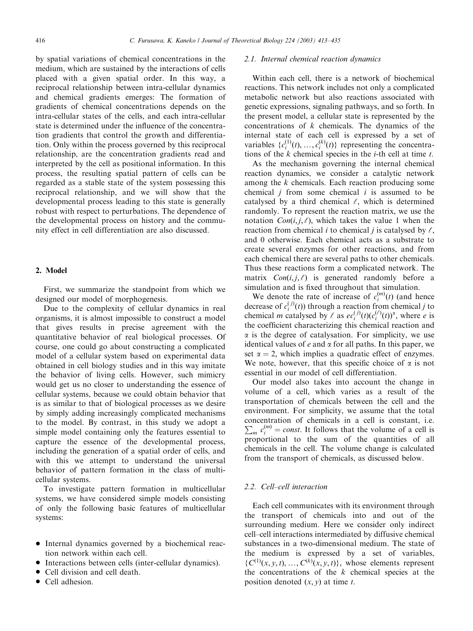by spatial variations of chemical concentrations in the medium, which are sustained by the interactions of cells placed with a given spatial order. In this way, a reciprocal relationship between intra-cellular dynamics and chemical gradients emerges: The formation of gradients of chemical concentrations depends on the intra-cellular states of the cells, and each intra-cellular state is determined under the influence of the concentration gradients that control the growth and differentiation. Only within the process governed by this reciprocal relationship, are the concentration gradients read and interpreted by the cell as positional information. In this process, the resulting spatial pattern of cells can be regarded as a stable state of the system possessing this reciprocal relationship, and we will show that the developmental process leading to this state is generally robust with respect to perturbations. The dependence of the developmental process on history and the community effect in cell differentiation are also discussed.

#### 2. Model

First, we summarize the standpoint from which we designed our model of morphogenesis.

Due to the complexity of cellular dynamics in real organisms, it is almost impossible to construct a model that gives results in precise agreement with the quantitative behavior of real biological processes. Of course, one could go about constructing a complicated model of a cellular system based on experimental data obtained in cell biology studies and in this way imitate the behavior of living cells. However, such mimicry would get us no closer to understanding the essence of cellular systems, because we could obtain behavior that is as similar to that of biological processes as we desire by simply adding increasingly complicated mechanisms to the model. By contrast, in this study we adopt a simple model containing only the features essential to capture the essence of the developmental process, including the generation of a spatial order of cells, and with this we attempt to understand the universal behavior of pattern formation in the class of multicellular systems.

To investigate pattern formation in multicellular systems, we have considered simple models consisting of only the following basic features of multicellular systems:

- Internal dynamics governed by a biochemical reaction network within each cell.
- Interactions between cells (inter-cellular dynamics).
- Cell division and cell death.
- Cell adhesion.

#### 2.1. Internal chemical reaction dynamics

Within each cell, there is a network of biochemical reactions. This network includes not only a complicated metabolic network but also reactions associated with genetic expressions, signaling pathways, and so forth. In the present model, a cellular state is represented by the concentrations of  $k$  chemicals. The dynamics of the internal state of each cell is expressed by a set of variables  $\{c_i^{(1)}(t), ..., c_i^{(k)}(t)\}$  representing the concentrations of the  $k$  chemical species in the  $i$ -th cell at time  $t$ .

As the mechanism governing the internal chemical reaction dynamics, we consider a catalytic network among the k chemicals. Each reaction producing some chemical  $j$  from some chemical  $i$  is assumed to be catalysed by a third chemical  $\ell$ , which is determined randomly. To represent the reaction matrix, we use the notation  $Con(i, j, \ell)$ , which takes the value 1 when the reaction from chemical *i* to chemical *j* is catalysed by  $\ell$ , and 0 otherwise. Each chemical acts as a substrate to create several enzymes for other reactions, and from each chemical there are several paths to other chemicals. Thus these reactions form a complicated network. The matrix  $Con(i, j, \ell)$  is generated randomly before a simulation and is fixed throughout that simulation.

We denote the rate of increase of  $c_i^{(m)}(t)$  (and hence decrease of  $c_i^{(j)}(t)$ ) through a reaction from chemical j to chemical *m* catalysed by  $\ell$  as  $ec_i^{(j)}(t)(c_i^{(\ell)}(t))^{\alpha}$ , where *e* is the coefficient characterizing this chemical reaction and  $\alpha$  is the degree of catalysation. For simplicity, we use identical values of  $e$  and  $\alpha$  for all paths. In this paper, we set  $\alpha = 2$ , which implies a quadratic effect of enzymes. We note, however, that this specific choice of  $\alpha$  is not essential in our model of cell differentiation.

Our model also takes into account the change in volume of a cell, which varies as a result of the transportation of chemicals between the cell and the environment. For simplicity, we assume that the total concentration of chemicals in a cell is constant, i.e.  $\sum_{m} c_i^{(m)} = const.$  It follows that the volume of a cell is proportional to the sum of the quantities of all chemicals in the cell. The volume change is calculated from the transport of chemicals, as discussed below.

#### 2.2. Cell–cell interaction

Each cell communicates with its environment through the transport of chemicals into and out of the surrounding medium. Here we consider only indirect cell–cell interactions intermediated by diffusive chemical substances in a two-dimensional medium. The state of the medium is expressed by a set of variables,  $\{C^{(1)}(x, y, t), ..., C^{(k)}(x, y, t)\},$  whose elements represent the concentrations of the  $k$  chemical species at the position denoted  $(x, y)$  at time t.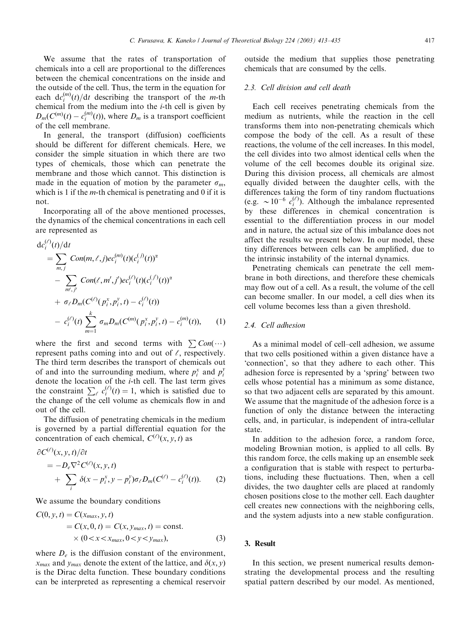We assume that the rates of transportation of chemicals into a cell are proportional to the differences between the chemical concentrations on the inside and the outside of the cell. Thus, the term in the equation for each  $dc_i^{(m)}(t)/dt$  describing the transport of the *m*-th chemical from the medium into the  $i$ -th cell is given by  $D_m(C^{(m)}(t) - c_i^{(m)}(t))$ , where  $D_m$  is a transport coefficient of the cell membrane.

In general, the transport (diffusion) coefficients should be different for different chemicals. Here, we consider the simple situation in which there are two types of chemicals, those which can penetrate the membrane and those which cannot. This distinction is made in the equation of motion by the parameter  $\sigma_m$ , which is 1 if the  $m$ -th chemical is penetrating and 0 if it is not.

Incorporating all of the above mentioned processes, the dynamics of the chemical concentrations in each cell are represented as

$$
dc_i^{(\ell)}(t)/dt
$$
  
=  $\sum_{m,j} Con(m,\ell,j)ec_i^{(m)}(t)(c_i^{(j)}(t))^{\alpha}$   
-  $\sum_{m',j'} Con(\ell,m',j')ec_i^{(\ell)}(t)(c_i^{(j)}(t))^{\alpha}$   
+  $\sigma_{\ell}D_m(C^{(\ell)}(p_i^x,p_i^y,t)-c_i^{(\ell)}(t))$   
-  $c_i^{(\ell)}(t)\sum_{m=1}^k \sigma_mD_m(C^{(m)}(p_i^x,p_i^y,t)-c_i^{(m)}(t)),$  (1)

where the first and second terms with  $\sum Con(\cdots)$ represent paths coming into and out of  $\ell$ , respectively. The third term describes the transport of chemicals out of and into the surrounding medium, where  $p_i^x$  and  $p_i^y$ denote the location of the i-th cell. The last term gives the constraint  $\sum_{\ell} c_i^{(\ell)}(t) = 1$ , which is satisfied due to the change of the cell volume as chemicals flow in and out of the cell.

The diffusion of penetrating chemicals in the medium is governed by a partial differential equation for the concentration of each chemical,  $C^{(\ell)}(x, y, t)$  as

$$
\partial C^{(\ell)}(x, y, t) / \partial t\n= -D_e \nabla^2 C^{(\ell)}(x, y, t)\n+ \sum_i \delta(x - p_i^x, y - p_i^y) \sigma_\ell D_m(C^{(\ell)} - c_i^{(\ell)}(t)).
$$
\n(2)

We assume the boundary conditions

$$
C(0, y, t) = C(x_{max}, y, t)
$$
  
= C(x, 0, t) = C(x, y\_{max}, t) = const.  
\times (0 < x < x\_{max}, 0 < y < y\_{max}), (3)

where  $D_e$  is the diffusion constant of the environment,  $x_{max}$  and  $y_{max}$  denote the extent of the lattice, and  $\delta(x, y)$ is the Dirac delta function. These boundary conditions can be interpreted as representing a chemical reservoir outside the medium that supplies those penetrating chemicals that are consumed by the cells.

#### 2.3. Cell division and cell death

Each cell receives penetrating chemicals from the medium as nutrients, while the reaction in the cell transforms them into non-penetrating chemicals which compose the body of the cell. As a result of these reactions, the volume of the cell increases. In this model, the cell divides into two almost identical cells when the volume of the cell becomes double its original size. During this division process, all chemicals are almost equally divided between the daughter cells, with the differences taking the form of tiny random fluctuations (e.g.  $\sim 10^{-6} c_i^{(\ell)}$ ). Although the imbalance represented by these differences in chemical concentration is essential to the differentiation process in our model and in nature, the actual size of this imbalance does not affect the results we present below. In our model, these tiny differences between cells can be amplified, due to the intrinsic instability of the internal dynamics.

Penetrating chemicals can penetrate the cell membrane in both directions, and therefore these chemicals may flow out of a cell. As a result, the volume of the cell can become smaller. In our model, a cell dies when its cell volume becomes less than a given threshold.

#### 2.4. Cell adhesion

As a minimal model of cell–cell adhesion, we assume that two cells positioned within a given distance have a 'connection', so that they adhere to each other. This adhesion force is represented by a 'spring' between two cells whose potential has a minimum as some distance, so that two adjacent cells are separated by this amount. We assume that the magnitude of the adhesion force is a function of only the distance between the interacting cells, and, in particular, is independent of intra-cellular state.

In addition to the adhesion force, a random force, modeling Brownian motion, is applied to all cells. By this random force, the cells making up an ensemble seek a configuration that is stable with respect to perturbations, including these fluctuations. Then, when a cell divides, the two daughter cells are placed at randomly chosen positions close to the mother cell. Each daughter cell creates new connections with the neighboring cells, and the system adjusts into a new stable configuration.

#### 3. Result

In this section, we present numerical results demonstrating the developmental process and the resulting spatial pattern described by our model. As mentioned,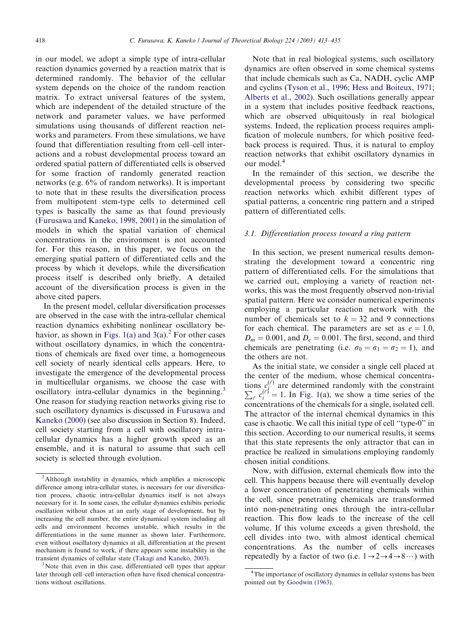in our model, we adopt a simple type of intra-cellular reaction dynamics governed by a reaction matrix that is determined randomly. The behavior of the cellular system depends on the choice of the random reaction matrix. To extract universal features of the system, which are independent of the detailed structure of the network and parameter values, we have performed simulations using thousands of different reaction networks and parameters. From these simulations, we have found that differentiation resulting from cell–cell interactions and a robust developmental process toward an ordered spatial pattern of differentiated cells is observed for some fraction of randomly generated reaction networks (e.g. 6% of random networks). It is important to note that in these results the diversification process from multipotent stem-type cells to determined cell types is basically the same as that found previously [\(Furusawa and Kaneko, 1998, 2001\)](#page-21-0) in the simulation of models in which the spatial variation of chemical concentrations in the environment is not accounted for. For this reason, in this paper, we focus on the emerging spatial pattern of differentiated cells and the process by which it develops, while the diversification process itself is described only briefly. A detailed account of the diversification process is given in the above cited papers.

In the present model, cellular diversification processes are observed in the case with the intra-cellular chemical reaction dynamics exhibiting nonlinear oscillatory behavior, as shown in Figs. 1(a) and  $3(a)$ .<sup>2</sup> For other cases without oscillatory dynamics, in which the concentrations of chemicals are fixed over time, a homogeneous cell society of nearly identical cells appears. Here, to investigate the emergence of the developmental process in multicellular organisms, we choose the case with oscillatory intra-cellular dynamics in the beginning.<sup>3</sup> One reason for studying reaction networks giving rise to such oscillatory dynamics is discussed in [Furusawa and](#page-21-0) [Kaneko \(2000\)](#page-21-0) (see also discussion in Section 8). Indeed, cell society starting from a cell with oscillatory intracellular dynamics has a higher growth speed as an ensemble, and it is natural to assume that such cell society is selected through evolution.

Note that in real biological systems, such oscillatory dynamics are often observed in some chemical systems that include chemicals such as Ca, NADH, cyclic AMP and cyclins ([Tyson et al., 1996;](#page-22-0) [Hess and Boiteux, 1971](#page-21-0); [Alberts et al., 2002\)](#page-21-0). Such oscillations generally appear in a system that includes positive feedback reactions, which are observed ubiquitously in real biological systems. Indeed, the replication process requires amplification of molecule numbers, for which positive feedback process is required. Thus, it is natural to employ reaction networks that exhibit oscillatory dynamics in our model.<sup>4</sup>

In the remainder of this section, we describe the developmental process by considering two specific reaction networks which exhibit different types of spatial patterns, a concentric ring pattern and a striped pattern of differentiated cells.

## 3.1. Differentiation process toward a ring pattern

In this section, we present numerical results demonstrating the development toward a concentric ring pattern of differentiated cells. For the simulations that we carried out, employing a variety of reaction networks, this was the most frequently observed non-trivial spatial pattern. Here we consider numerical experiments employing a particular reaction network with the number of chemicals set to  $k = 32$  and 9 connections for each chemical. The parameters are set as  $e = 1.0$ ,  $D_m = 0.001$ , and  $D_e = 0.001$ . The first, second, and third chemicals are penetrating (i.e.  $\sigma_0 = \sigma_1 = \sigma_2 = 1$ ), and the others are not.

As the initial state, we consider a single cell placed at the center of the medium, whose chemical concentrations  $c_j^{(\ell)}$  are determined randomly with the constraint<br>  $\sum_{j=1}^{\infty} c_j^{(\ell)} = 1$ . In Fig. 1(a), we show a time series of the  $c_i^{(\ell)} = 1$ . In [Fig. 1\(](#page-6-0)a), we show a time series of the concentrations of the chemicals for a single, isolated cell. The attractor of the internal chemical dynamics in this case is chaotic. We call this initial type of cell ''type-0'' in this section. According to our numerical results, it seems that this state represents the only attractor that can in practice be realized in simulations employing randomly chosen initial conditions.

Now, with diffusion, external chemicals flow into the cell. This happens because there will eventually develop a lower concentration of penetrating chemicals within the cell, since penetrating chemicals are transformed into non-penetrating ones through the intra-cellular reaction. This flow leads to the increase of the cell volume. If this volume exceeds a given threshold, the cell divides into two, with almost identical chemical concentrations. As the number of cells increases repeatedly by a factor of two (i.e.  $1\rightarrow 2\rightarrow 4\rightarrow 8\cdots$ ) with

<sup>2</sup> Although instability in dynamics, which amplifies a microscopic difference among intra-cellular states, is necessary for our diversification process, chaotic intra-cellular dynamics itself is not always necessary for it. In some cases, the cellular dynamics exhibits periodic oscillation without chaos at an early stage of development, but by increasing the cell number, the entire dynamical system including all cells and environment becomes unstable, which results in the differentiations in the same manner as shown later. Furthermore, even without oscillatory dynamics at all, differentiation at the present mechanism is found to work, if there appears some instability in the transient dynamics of cellular state [\(Takagi and Kaneko, 2003\)](#page-22-0).

<sup>&</sup>lt;sup>3</sup>Note that even in this case, differentiated cell types that appear later through cell–cell interaction often have fixed chemical concentrations without oscillations.

<sup>&</sup>lt;sup>4</sup>The importance of oscillatory dynamics in cellular systems has been pointed out by [Goodwin \(1963\)](#page-21-0).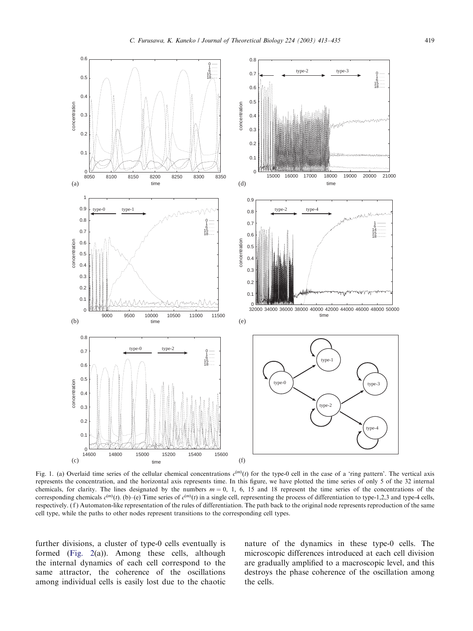<span id="page-6-0"></span>

Fig. 1. (a) Overlaid time series of the cellular chemical concentrations  $c^{(m)}(t)$  for the type-0 cell in the case of a 'ring pattern'. The vertical axis represents the concentration, and the horizontal axis represents time. In this figure, we have plotted the time series of only 5 of the 32 internal chemicals, for clarity. The lines designated by the numbers  $m = 0, 1, 6, 15$  and 18 represent the time series of the concentrations of the corresponding chemicals  $c^{(m)}(t)$ . (b)–(e) Time series of  $c^{(m)}(t)$  in a single cell, representing the process of differentiation to type-1,2,3 and type-4 cells, respectively. (f) Automaton-like representation of the rules of differentiation. The path back to the original node represents reproduction of the same cell type, while the paths to other nodes represent transitions to the corresponding cell types.

further divisions, a cluster of type-0 cells eventually is formed ([Fig. 2\(](#page-7-0)a)). Among these cells, although the internal dynamics of each cell correspond to the same attractor, the coherence of the oscillations among individual cells is easily lost due to the chaotic nature of the dynamics in these type-0 cells. The microscopic differences introduced at each cell division are gradually amplified to a macroscopic level, and this destroys the phase coherence of the oscillation among the cells.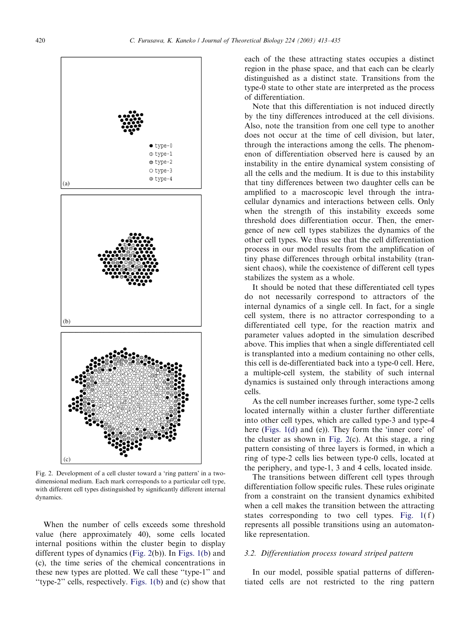<span id="page-7-0"></span>

Fig. 2. Development of a cell cluster toward a 'ring pattern' in a twodimensional medium. Each mark corresponds to a particular cell type, with different cell types distinguished by significantly different internal dynamics.

When the number of cells exceeds some threshold value (here approximately 40), some cells located internal positions within the cluster begin to display different types of dynamics (Fig. 2(b)). In [Figs. 1\(b\)](#page-6-0) and (c), the time series of the chemical concentrations in these new types are plotted. We call these ''type-1'' and ''type-2'' cells, respectively. [Figs. 1\(b\)](#page-6-0) and (c) show that

each of the these attracting states occupies a distinct region in the phase space, and that each can be clearly distinguished as a distinct state. Transitions from the type-0 state to other state are interpreted as the process of differentiation.

Note that this differentiation is not induced directly by the tiny differences introduced at the cell divisions. Also, note the transition from one cell type to another does not occur at the time of cell division, but later, through the interactions among the cells. The phenomenon of differentiation observed here is caused by an instability in the entire dynamical system consisting of all the cells and the medium. It is due to this instability that tiny differences between two daughter cells can be amplified to a macroscopic level through the intracellular dynamics and interactions between cells. Only when the strength of this instability exceeds some threshold does differentiation occur. Then, the emergence of new cell types stabilizes the dynamics of the other cell types. We thus see that the cell differentiation process in our model results from the amplification of tiny phase differences through orbital instability (transient chaos), while the coexistence of different cell types stabilizes the system as a whole.

It should be noted that these differentiated cell types do not necessarily correspond to attractors of the internal dynamics of a single cell. In fact, for a single cell system, there is no attractor corresponding to a differentiated cell type, for the reaction matrix and parameter values adopted in the simulation described above. This implies that when a single differentiated cell is transplanted into a medium containing no other cells, this cell is de-differentiated back into a type-0 cell. Here, a multiple-cell system, the stability of such internal dynamics is sustained only through interactions among cells.

As the cell number increases further, some type-2 cells located internally within a cluster further differentiate into other cell types, which are called type-3 and type-4 here ([Figs. 1\(d](#page-6-0)) and (e)). They form the 'inner core' of the cluster as shown in Fig. 2(c). At this stage, a ring pattern consisting of three layers is formed, in which a ring of type-2 cells lies between type-0 cells, located at the periphery, and type-1, 3 and 4 cells, located inside.

The transitions between different cell types through differentiation follow specific rules. These rules originate from a constraint on the transient dynamics exhibited when a cell makes the transition between the attracting states corresponding to two cell types. [Fig. 1\(](#page-6-0)f) represents all possible transitions using an automatonlike representation.

# 3.2. Differentiation process toward striped pattern

In our model, possible spatial patterns of differentiated cells are not restricted to the ring pattern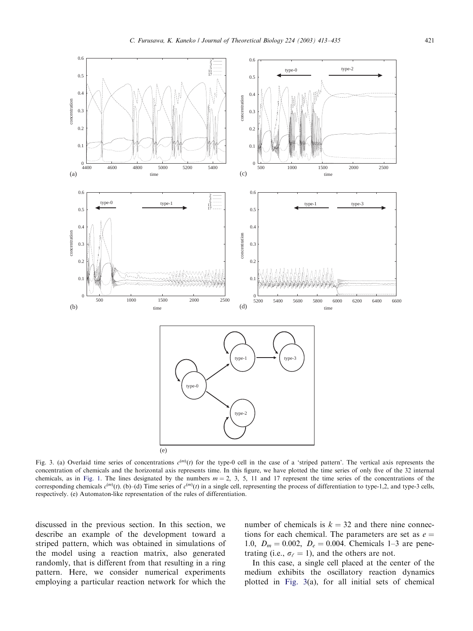<span id="page-8-0"></span>

Fig. 3. (a) Overlaid time series of concentrations  $c^{(m)}(t)$  for the type-0 cell in the case of a 'striped pattern'. The vertical axis represents the concentration of chemicals and the horizontal axis represents time. In this figure, we have plotted the time series of only five of the 32 internal chemicals, as in [Fig. 1](#page-6-0). The lines designated by the numbers  $m = 2$ , 3, 5, 11 and 17 represent the time series of the concentrations of the corresponding chemicals  $c^{(m)}(t)$ . (b)–(d) Time series of  $c^{(m)}(t)$  in a single cell, representing the process of differentiation to type-1,2, and type-3 cells, respectively. (e) Automaton-like representation of the rules of differentiation.

discussed in the previous section. In this section, we describe an example of the development toward a striped pattern, which was obtained in simulations of the model using a reaction matrix, also generated randomly, that is different from that resulting in a ring pattern. Here, we consider numerical experiments employing a particular reaction network for which the number of chemicals is  $k = 32$  and there nine connections for each chemical. The parameters are set as  $e =$ 1.0,  $D_m = 0.002$ ,  $D_e = 0.004$ . Chemicals 1–3 are penetrating (i.e.,  $\sigma_{\ell} = 1$ ), and the others are not.

In this case, a single cell placed at the center of the medium exhibits the oscillatory reaction dynamics plotted in Fig. 3(a), for all initial sets of chemical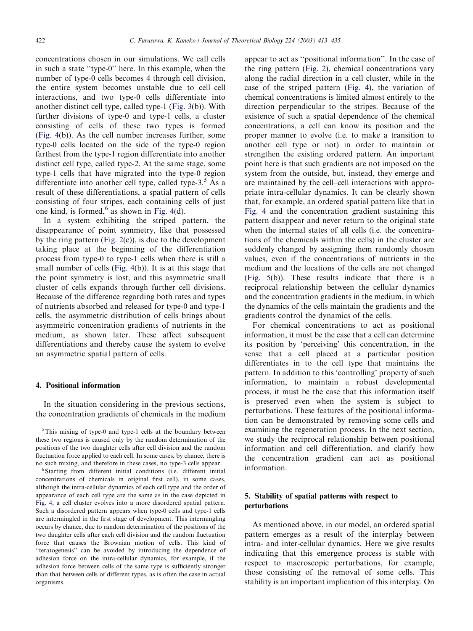concentrations chosen in our simulations. We call cells in such a state ''type-0'' here. In this example, when the number of type-0 cells becomes 4 through cell division, the entire system becomes unstable due to cell–cell interactions, and two type-0 cells differentiate into another distinct cell type, called type-1 [\(Fig. 3](#page-8-0)(b)). With further divisions of type-0 and type-1 cells, a cluster consisting of cells of these two types is formed [\(Fig. 4](#page-10-0)(b)). As the cell number increases further, some type-0 cells located on the side of the type-0 region farthest from the type-1 region differentiate into another distinct cell type, called type-2. At the same stage, some type-1 cells that have migrated into the type-0 region differentiate into another cell type, called type- $3<sup>5</sup>$  As a result of these differentiations, a spatial pattern of cells consisting of four stripes, each containing cells of just one kind, is formed,  $6$  as shown in [Fig. 4](#page-10-0)(d).

In a system exhibiting the striped pattern, the disappearance of point symmetry, like that possessed by the ring pattern (Fig.  $2(c)$ ), is due to the development taking place at the beginning of the differentiation process from type-0 to type-1 cells when there is still a small number of cells ([Fig. 4](#page-10-0)(b)). It is at this stage that the point symmetry is lost, and this asymmetric small cluster of cells expands through further cell divisions. Because of the difference regarding both rates and types of nutrients absorbed and released for type-0 and type-1 cells, the asymmetric distribution of cells brings about asymmetric concentration gradients of nutrients in the medium, as shown later. These affect subsequent differentiations and thereby cause the system to evolve an asymmetric spatial pattern of cells.

## 4. Positional information

In the situation considering in the previous sections, the concentration gradients of chemicals in the medium appear to act as ''positional information''. In the case of the ring pattern [\(Fig. 2](#page-7-0)), chemical concentrations vary along the radial direction in a cell cluster, while in the case of the striped pattern [\(Fig. 4](#page-10-0)), the variation of chemical concentrations is limited almost entirely to the direction perpendicular to the stripes. Because of the existence of such a spatial dependence of the chemical concentrations, a cell can know its position and the proper manner to evolve (i.e. to make a transition to another cell type or not) in order to maintain or strengthen the existing ordered pattern. An important point here is that such gradients are not imposed on the system from the outside, but, instead, they emerge and are maintained by the cell–cell interactions with appropriate intra-cellular dynamics. It can be clearly shown that, for example, an ordered spatial pattern like that in [Fig. 4](#page-10-0) and the concentration gradient sustaining this pattern disappear and never return to the original state when the internal states of all cells (i.e. the concentrations of the chemicals within the cells) in the cluster are suddenly changed by assigning them randomly chosen values, even if the concentrations of nutrients in the medium and the locations of the cells are not changed [\(Fig. 5\(](#page-11-0)b)). These results indicate that there is a reciprocal relationship between the cellular dynamics and the concentration gradients in the medium, in which the dynamics of the cells maintain the gradients and the gradients control the dynamics of the cells.

For chemical concentrations to act as positional information, it must be the case that a cell can determine its position by 'perceiving' this concentration, in the sense that a cell placed at a particular position differentiates in to the cell type that maintains the pattern. In addition to this 'controlling' property of such information, to maintain a robust developmental process, it must be the case that this information itself is preserved even when the system is subject to perturbations. These features of the positional information can be demonstrated by removing some cells and examining the regeneration process. In the next section, we study the reciprocal relationship between positional information and cell differentiation, and clarify how the concentration gradient can act as positional information.

# 5. Stability of spatial patterns with respect to perturbations

As mentioned above, in our model, an ordered spatial pattern emerges as a result of the interplay between intra- and inter-cellular dynamics. Here we give results indicating that this emergence process is stable with respect to macroscopic perturbations, for example, those consisting of the removal of some cells. This stability is an important implication of this interplay. On

 $5$ This mixing of type-0 and type-1 cells at the boundary between these two regions is caused only by the random determination of the positions of the two daughter cells after cell division and the random fluctuation force applied to each cell. In some cases, by chance, there is no such mixing, and therefore in these cases, no type-3 cells appear.

<sup>&</sup>lt;sup>6</sup>Starting from different initial conditions (i.e. different initial concentrations of chemicals in original first cell), in some cases, although the intra-cellular dynamics of each cell type and the order of appearance of each cell type are the same as in the case depicted in [Fig. 4,](#page-10-0) a cell cluster evolves into a more disordered spatial pattern. Such a disordered pattern appears when type-0 cells and type-1 cells are intermingled in the first stage of development. This intermingling occurs by chance, due to random determination of the positions of the two daughter cells after each cell division and the random fluctuation force that causes the Brownian motion of cells. This kind of ''teratogenesis'' can be avoided by introducing the dependence of adhesion force on the intra-cellular dynamics, for example, if the adhesion force between cells of the same type is sufficiently stronger than that between cells of different types, as is often the case in actual organisms.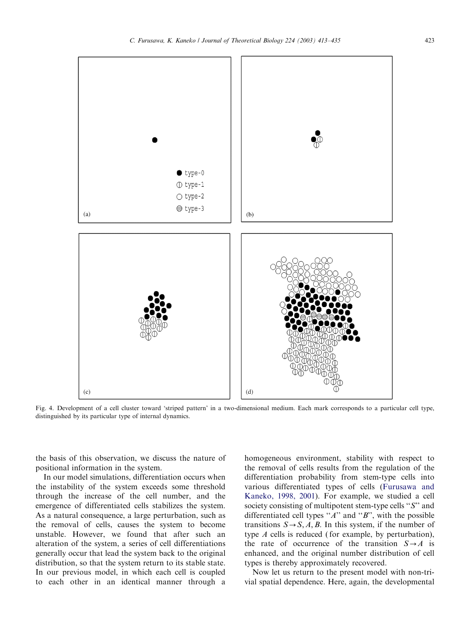<span id="page-10-0"></span>

Fig. 4. Development of a cell cluster toward 'striped pattern' in a two-dimensional medium. Each mark corresponds to a particular cell type, distinguished by its particular type of internal dynamics.

the basis of this observation, we discuss the nature of positional information in the system.

In our model simulations, differentiation occurs when the instability of the system exceeds some threshold through the increase of the cell number, and the emergence of differentiated cells stabilizes the system. As a natural consequence, a large perturbation, such as the removal of cells, causes the system to become unstable. However, we found that after such an alteration of the system, a series of cell differentiations generally occur that lead the system back to the original distribution, so that the system return to its stable state. In our previous model, in which each cell is coupled to each other in an identical manner through a

homogeneous environment, stability with respect to the removal of cells results from the regulation of the differentiation probability from stem-type cells into various differentiated types of cells ([Furusawa and](#page-21-0) [Kaneko, 1998, 2001\)](#page-21-0). For example, we studied a cell society consisting of multipotent stem-type cells "S" and differentiated cell types " $A$ " and " $B$ ", with the possible transitions  $S \rightarrow S$ , A, B. In this system, if the number of type A cells is reduced ( for example, by perturbation), the rate of occurrence of the transition  $S \rightarrow A$  is enhanced, and the original number distribution of cell types is thereby approximately recovered.

Now let us return to the present model with non-trivial spatial dependence. Here, again, the developmental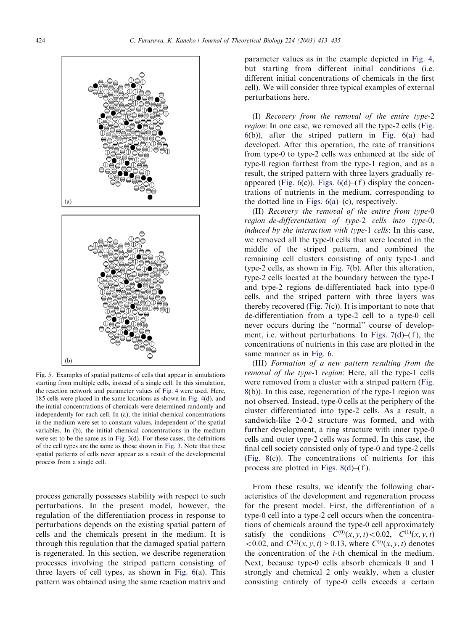<span id="page-11-0"></span>

Fig. 5. Examples of spatial patterns of cells that appear in simulations starting from multiple cells, instead of a single cell. In this simulation, the reaction network and parameter values of [Fig. 4](#page-10-0) were used. Here, 185 cells were placed in the same locations as shown in [Fig. 4\(](#page-10-0)d), and the initial concentrations of chemicals were determined randomly and independently for each cell. In (a), the initial chemical concentrations in the medium were set to constant values, independent of the spatial variables. In (b), the initial chemical concentrations in the medium were set to be the same as in [Fig. 3](#page-8-0)(d). For these cases, the definitions of the cell types are the same as those shown in [Fig. 3](#page-8-0). Note that these spatial patterns of cells never appear as a result of the developmental process from a single cell.

process generally possesses stability with respect to such perturbations. In the present model, however, the regulation of the differentiation process in response to perturbations depends on the existing spatial pattern of cells and the chemicals present in the medium. It is through this regulation that the damaged spatial pattern is regenerated. In this section, we describe regeneration processes involving the striped pattern consisting of three layers of cell types, as shown in [Fig. 6](#page-12-0)(a). This pattern was obtained using the same reaction matrix and

parameter values as in the example depicted in [Fig. 4](#page-10-0), but starting from different initial conditions (i.e. different initial concentrations of chemicals in the first cell). We will consider three typical examples of external perturbations here.

(I) Recovery from the removal of the entire type-2 region: In one case, we removed all the type-2 cells ([Fig.](#page-12-0) [6\(](#page-12-0)b)), after the striped pattern in [Fig. 6](#page-12-0)(a) had developed. After this operation, the rate of transitions from type-0 to type-2 cells was enhanced at the side of type-0 region farthest from the type-1 region, and as a result, the striped pattern with three layers gradually reappeared (Fig.  $6(c)$ ). Figs.  $6(d)$ –(f) display the concentrations of nutrients in the medium, corresponding to the dotted line in Figs.  $6(a)$ –(c), respectively.

(II) Recovery the removal of the entire from type-0 region–de-differentiation of type-2 cells into type-0, induced by the interaction with type-1 cells: In this case, we removed all the type-0 cells that were located in the middle of the striped pattern, and combined the remaining cell clusters consisting of only type-1 and type-2 cells, as shown in [Fig. 7\(](#page-13-0)b). After this alteration, type-2 cells located at the boundary between the type-1 and type-2 regions de-differentiated back into type-0 cells, and the striped pattern with three layers was thereby recovered [\(Fig. 7\(](#page-13-0)c)). It is important to note that de-differentiation from a type-2 cell to a type-0 cell never occurs during the ''normal'' course of development, i.e. without perturbations. In Figs.  $7(d)$ –(f), the concentrations of nutrients in this case are plotted in the same manner as in [Fig. 6](#page-12-0).

(III) Formation of a new pattern resulting from the removal of the type-1 region: Here, all the type-1 cells were removed from a cluster with a striped pattern ([Fig.](#page-14-0) [8\(](#page-14-0)b)). In this case, regeneration of the type-1 region was not observed. Instead, type-0 cells at the periphery of the cluster differentiated into type-2 cells. As a result, a sandwich-like 2-0-2 structure was formed, and with further development, a ring structure with inner type-0 cells and outer type-2 cells was formed. In this case, the final cell society consisted only of type-0 and type-2 cells [\(Fig. 8](#page-14-0)(c)). The concentrations of nutrients for this process are plotted in Figs.  $8(d)$ –(f).

From these results, we identify the following characteristics of the development and regeneration process for the present model. First, the differentiation of a type-0 cell into a type-2 cell occurs when the concentrations of chemicals around the type-0 cell approximately satisfy the conditions  $C^{(0)}(x, y, t) < 0.02$ ,  $C^{(1)}(x, y, t)$ <0.02, and  $C^{(2)}(x, y, t) > 0.13$ , where  $C^{(i)}(x, y, t)$  denotes the concentration of the i-th chemical in the medium. Next, because type-0 cells absorb chemicals 0 and 1 strongly and chemical 2 only weakly, when a cluster consisting entirely of type-0 cells exceeds a certain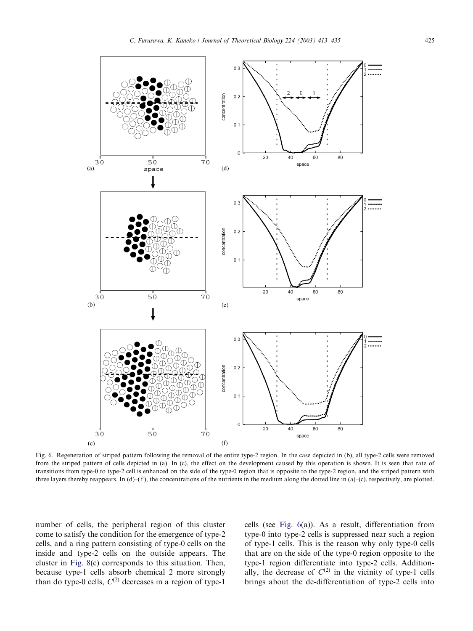<span id="page-12-0"></span>

Fig. 6. Regeneration of striped pattern following the removal of the entire type-2 region. In the case depicted in (b), all type-2 cells were removed from the striped pattern of cells depicted in (a). In (c), the effect on the development caused by this operation is shown. It is seen that rate of transitions from type-0 to type-2 cell is enhanced on the side of the type-0 region that is opposite to the type-2 region, and the striped pattern with three layers thereby reappears. In  $(d)$ – $(f)$ , the concentrations of the nutrients in the medium along the dotted line in (a)–(c), respectively, are plotted.

number of cells, the peripheral region of this cluster come to satisfy the condition for the emergence of type-2 cells, and a ring pattern consisting of type-0 cells on the inside and type-2 cells on the outside appears. The cluster in [Fig. 8\(](#page-14-0)c) corresponds to this situation. Then, because type-1 cells absorb chemical 2 more strongly than do type-0 cells,  $C^{(2)}$  decreases in a region of type-1

cells (see Fig. 6(a)). As a result, differentiation from type-0 into type-2 cells is suppressed near such a region of type-1 cells. This is the reason why only type-0 cells that are on the side of the type-0 region opposite to the type-1 region differentiate into type-2 cells. Additionally, the decrease of  $C^{(2)}$  in the vicinity of type-1 cells brings about the de-differentiation of type-2 cells into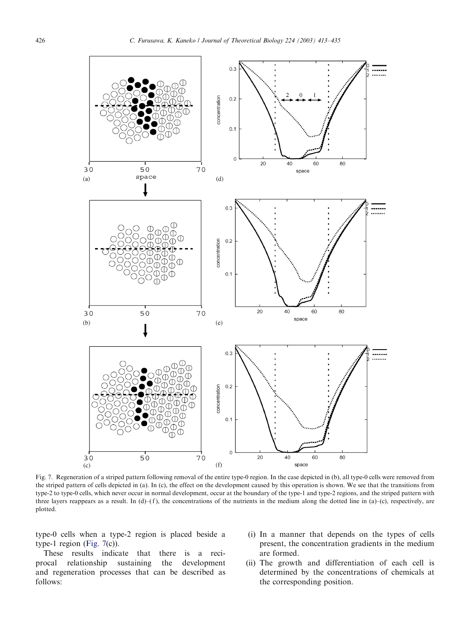<span id="page-13-0"></span>

Fig. 7. Regeneration of a striped pattern following removal of the entire type-0 region. In the case depicted in (b), all type-0 cells were removed from the striped pattern of cells depicted in (a). In (c), the effect on the development caused by this operation is shown. We see that the transitions from type-2 to type-0 cells, which never occur in normal development, occur at the boundary of the type-1 and type-2 regions, and the striped pattern with three layers reappears as a result. In  $(d)$ –(f), the concentrations of the nutrients in the medium along the dotted line in (a)–(c), respectively, are plotted.

type-0 cells when a type-2 region is placed beside a type-1 region (Fig. 7(c)).

These results indicate that there is a reciprocal relationship sustaining the development and regeneration processes that can be described as follows:

- (i) In a manner that depends on the types of cells present, the concentration gradients in the medium are formed.
- (ii) The growth and differentiation of each cell is determined by the concentrations of chemicals at the corresponding position.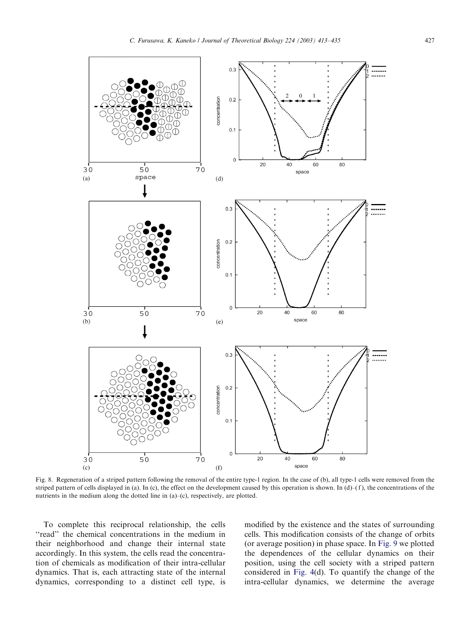<span id="page-14-0"></span>

Fig. 8. Regeneration of a striped pattern following the removal of the entire type-1 region. In the case of (b), all type-1 cells were removed from the striped pattern of cells displayed in (a). In (c), the effect on the development caused by this operation is shown. In  $(d)$ –(f), the concentrations of the nutrients in the medium along the dotted line in (a)–(c), respectively, are plotted.

To complete this reciprocal relationship, the cells ''read'' the chemical concentrations in the medium in their neighborhood and change their internal state accordingly. In this system, the cells read the concentration of chemicals as modification of their intra-cellular dynamics. That is, each attracting state of the internal dynamics, corresponding to a distinct cell type, is modified by the existence and the states of surrounding cells. This modification consists of the change of orbits (or average position) in phase space. In [Fig. 9](#page-15-0) we plotted the dependences of the cellular dynamics on their position, using the cell society with a striped pattern considered in [Fig. 4](#page-10-0)(d). To quantify the change of the intra-cellular dynamics, we determine the average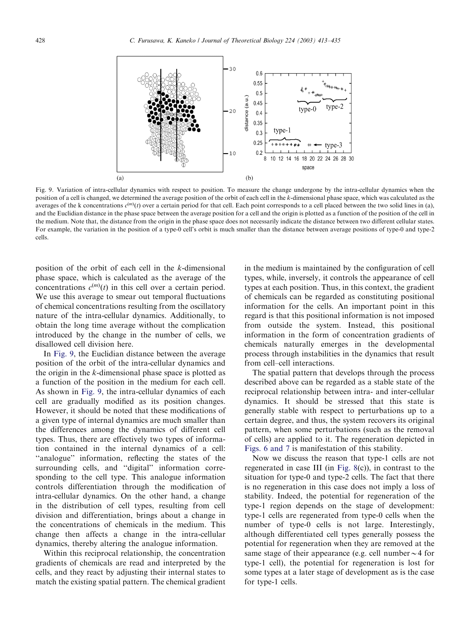<span id="page-15-0"></span>

Fig. 9. Variation of intra-cellular dynamics with respect to position. To measure the change undergone by the intra-cellular dynamics when the position of a cell is changed, we determined the average position of the orbit of each cell in the k-dimensional phase space, which was calculated as the averages of the k concentrations  $c^{(m)}(t)$  over a certain period for that cell. Each point corresponds to a cell placed between the two solid lines in (a), and the Euclidian distance in the phase space between the average position for a cell and the origin is plotted as a function of the position of the cell in the medium. Note that, the distance from the origin in the phase space does not necessarily indicate the distance between two different cellular states. For example, the variation in the position of a type-0 cell's orbit is much smaller than the distance between average positions of type-0 and type-2 cells.

position of the orbit of each cell in the k-dimensional phase space, which is calculated as the average of the concentrations  $c^{(m)}(t)$  in this cell over a certain period. We use this average to smear out temporal fluctuations of chemical concentrations resulting from the oscillatory nature of the intra-cellular dynamics. Additionally, to obtain the long time average without the complication introduced by the change in the number of cells, we disallowed cell division here.

In Fig. 9, the Euclidian distance between the average position of the orbit of the intra-cellular dynamics and the origin in the k-dimensional phase space is plotted as a function of the position in the medium for each cell. As shown in Fig. 9, the intra-cellular dynamics of each cell are gradually modified as its position changes. However, it should be noted that these modifications of a given type of internal dynamics are much smaller than the differences among the dynamics of different cell types. Thus, there are effectively two types of information contained in the internal dynamics of a cell: ''analogue'' information, reflecting the states of the surrounding cells, and ''digital'' information corresponding to the cell type. This analogue information controls differentiation through the modification of intra-cellular dynamics. On the other hand, a change in the distribution of cell types, resulting from cell division and differentiation, brings about a change in the concentrations of chemicals in the medium. This change then affects a change in the intra-cellular dynamics, thereby altering the analogue information.

Within this reciprocal relationship, the concentration gradients of chemicals are read and interpreted by the cells, and they react by adjusting their internal states to match the existing spatial pattern. The chemical gradient in the medium is maintained by the configuration of cell types, while, inversely, it controls the appearance of cell types at each position. Thus, in this context, the gradient of chemicals can be regarded as constituting positional information for the cells. An important point in this regard is that this positional information is not imposed from outside the system. Instead, this positional information in the form of concentration gradients of chemicals naturally emerges in the developmental process through instabilities in the dynamics that result from cell–cell interactions.

The spatial pattern that develops through the process described above can be regarded as a stable state of the reciprocal relationship between intra- and inter-cellular dynamics. It should be stressed that this state is generally stable with respect to perturbations up to a certain degree, and thus, the system recovers its original pattern, when some perturbations (such as the removal of cells) are applied to it. The regeneration depicted in [Figs. 6 and 7](#page-12-0) is manifestation of this stability.

Now we discuss the reason that type-1 cells are not regenerated in case III (in [Fig. 8](#page-14-0)(c)), in contrast to the situation for type-0 and type-2 cells. The fact that there is no regeneration in this case does not imply a loss of stability. Indeed, the potential for regeneration of the type-1 region depends on the stage of development: type-1 cells are regenerated from type-0 cells when the number of type-0 cells is not large. Interestingly, although differentiated cell types generally possess the potential for regeneration when they are removed at the same stage of their appearance (e.g. cell number  $\sim$  4 for type-1 cell), the potential for regeneration is lost for some types at a later stage of development as is the case for type-1 cells.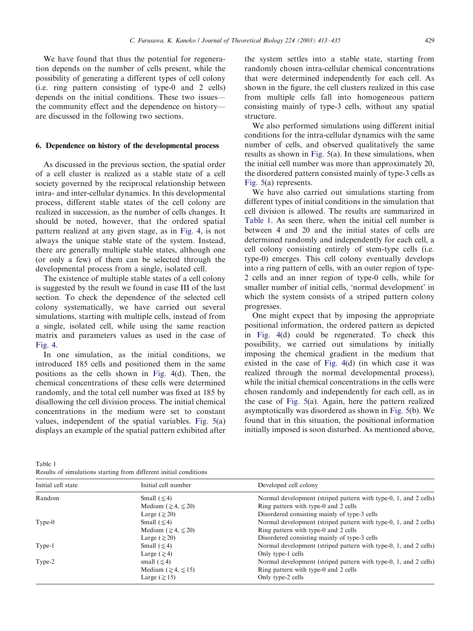<span id="page-16-0"></span>We have found that thus the potential for regeneration depends on the number of cells present, while the possibility of generating a different types of cell colony (i.e. ring pattern consisting of type-0 and 2 cells) depends on the initial conditions. These two issues the community effect and the dependence on history are discussed in the following two sections.

#### 6. Dependence on history of the developmental process

As discussed in the previous section, the spatial order of a cell cluster is realized as a stable state of a cell society governed by the reciprocal relationship between intra- and inter-cellular dynamics. In this developmental process, different stable states of the cell colony are realized in succession, as the number of cells changes. It should be noted, however, that the ordered spatial pattern realized at any given stage, as in [Fig. 4,](#page-10-0) is not always the unique stable state of the system. Instead, there are generally multiple stable states, although one (or only a few) of them can be selected through the developmental process from a single, isolated cell.

The existence of multiple stable states of a cell colony is suggested by the result we found in case III of the last section. To check the dependence of the selected cell colony systematically, we have carried out several simulations, starting with multiple cells, instead of from a single, isolated cell, while using the same reaction matrix and parameters values as used in the case of [Fig. 4](#page-10-0).

In one simulation, as the initial conditions, we introduced 185 cells and positioned them in the same positions as the cells shown in [Fig. 4](#page-10-0)(d). Then, the chemical concentrations of these cells were determined randomly, and the total cell number was fixed at 185 by disallowing the cell division process. The initial chemical concentrations in the medium were set to constant values, independent of the spatial variables. [Fig. 5](#page-11-0)(a) displays an example of the spatial pattern exhibited after the system settles into a stable state, starting from randomly chosen intra-cellular chemical concentrations that were determined independently for each cell. As shown in the figure, the cell clusters realized in this case from multiple cells fall into homogeneous pattern consisting mainly of type-3 cells, without any spatial structure.

We also performed simulations using different initial conditions for the intra-cellular dynamics with the same number of cells, and observed qualitatively the same results as shown in [Fig. 5](#page-11-0)(a). In these simulations, when the initial cell number was more than approximately 20, the disordered pattern consisted mainly of type-3 cells as [Fig. 5](#page-11-0)(a) represents.

We have also carried out simulations starting from different types of initial conditions in the simulation that cell division is allowed. The results are summarized in Table 1. As seen there, when the initial cell number is between 4 and 20 and the initial states of cells are determined randomly and independently for each cell, a cell colony consisting entirely of stem-type cells (i.e. type-0) emerges. This cell colony eventually develops into a ring pattern of cells, with an outer region of type-2 cells and an inner region of type-0 cells, while for smaller number of initial cells, 'normal development' in which the system consists of a striped pattern colony progresses.

One might expect that by imposing the appropriate positional information, the ordered pattern as depicted in [Fig. 4\(](#page-10-0)d) could be regenerated. To check this possibility, we carried out simulations by initially imposing the chemical gradient in the medium that existed in the case of [Fig. 4\(](#page-10-0)d) (in which case it was realized through the normal developmental process), while the initial chemical concentrations in the cells were chosen randomly and independently for each cell, as in the case of [Fig. 5](#page-11-0)(a). Again, here the pattern realized asymptotically was disordered as shown in [Fig. 5](#page-11-0)(b). We found that in this situation, the positional information initially imposed is soon disturbed. As mentioned above,

Table 1

Results of simulations starting from different initial conditions

| Initial cell state | Initial cell number                    | Developed cell colony                                            |
|--------------------|----------------------------------------|------------------------------------------------------------------|
| Random             | Small $(\leq 4)$                       | Normal development (striped pattern with type-0, 1, and 2 cells) |
|                    | Medium ( $\gtrsim 4$ , $\lesssim 20$ ) | Ring pattern with type-0 and 2 cells                             |
|                    | Large $(\geq 20)$                      | Disordered consisting mainly of type-3 cells                     |
| $Type-0$           | Small $(\leq 4)$                       | Normal development (striped pattern with type-0, 1, and 2 cells) |
|                    | Medium ( $\gtrsim 4, \leq 20$ )        | Ring pattern with type-0 and 2 cells                             |
|                    | Large $(\geq 20)$                      | Disordered consisting mainly of type-3 cells                     |
| $Type-1$           | Small $(\leq 4)$                       | Normal development (striped pattern with type-0, 1, and 2 cells) |
|                    | Large $(\geq 4)$                       | Only type-1 cells                                                |
| Type-2             | small $(\leq 4)$                       | Normal development (striped pattern with type-0, 1, and 2 cells) |
|                    | Medium ( $\gtrsim 4$ , $\lesssim 15$ ) | Ring pattern with type-0 and 2 cells                             |
|                    | Large $(\geq 15)$                      | Only type-2 cells                                                |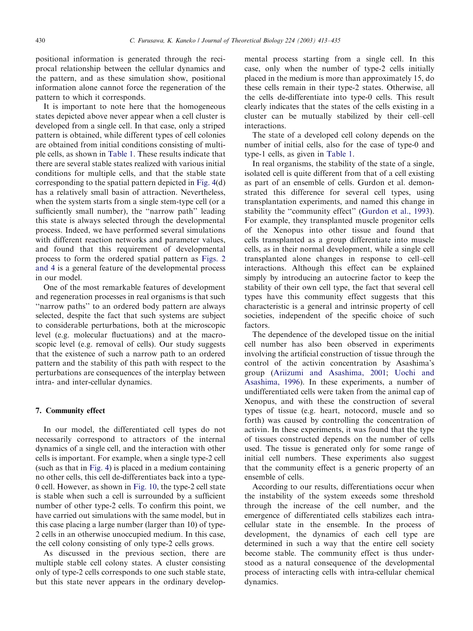positional information is generated through the reciprocal relationship between the cellular dynamics and the pattern, and as these simulation show, positional information alone cannot force the regeneration of the pattern to which it corresponds.

It is important to note here that the homogeneous states depicted above never appear when a cell cluster is developed from a single cell. In that case, only a striped pattern is obtained, while different types of cell colonies are obtained from initial conditions consisting of multiple cells, as shown in [Table 1.](#page-16-0) These results indicate that there are several stable states realized with various initial conditions for multiple cells, and that the stable state corresponding to the spatial pattern depicted in [Fig. 4\(](#page-10-0)d) has a relatively small basin of attraction. Nevertheless, when the system starts from a single stem-type cell (or a sufficiently small number), the ''narrow path'' leading this state is always selected through the developmental process. Indeed, we have performed several simulations with different reaction networks and parameter values. and found that this requirement of developmental process to form the ordered spatial pattern as [Figs. 2](#page-7-0) [and 4](#page-7-0) is a general feature of the developmental process in our model.

One of the most remarkable features of development and regeneration processes in real organisms is that such ''narrow paths'' to an ordered body pattern are always selected, despite the fact that such systems are subject to considerable perturbations, both at the microscopic level (e.g. molecular fluctuations) and at the macroscopic level (e.g. removal of cells). Our study suggests that the existence of such a narrow path to an ordered pattern and the stability of this path with respect to the perturbations are consequences of the interplay between intra- and inter-cellular dynamics.

### 7. Community effect

In our model, the differentiated cell types do not necessarily correspond to attractors of the internal dynamics of a single cell, and the interaction with other cells is important. For example, when a single type-2 cell (such as that in [Fig. 4](#page-10-0)) is placed in a medium containing no other cells, this cell de-differentiates back into a type-0 cell. However, as shown in [Fig. 10](#page-18-0), the type-2 cell state is stable when such a cell is surrounded by a sufficient number of other type-2 cells. To confirm this point, we have carried out simulations with the same model, but in this case placing a large number (larger than 10) of type-2 cells in an otherwise unoccupied medium. In this case, the cell colony consisting of only type-2 cells grows.

As discussed in the previous section, there are multiple stable cell colony states. A cluster consisting only of type-2 cells corresponds to one such stable state, but this state never appears in the ordinary developmental process starting from a single cell. In this case, only when the number of type-2 cells initially placed in the medium is more than approximately 15, do these cells remain in their type-2 states. Otherwise, all the cells de-differentiate into type-0 cells. This result clearly indicates that the states of the cells existing in a cluster can be mutually stabilized by their cell–cell interactions.

The state of a developed cell colony depends on the number of initial cells, also for the case of type-0 and type-1 cells, as given in [Table 1.](#page-16-0)

In real organisms, the stability of the state of a single, isolated cell is quite different from that of a cell existing as part of an ensemble of cells. Gurdon et al. demonstrated this difference for several cell types, using transplantation experiments, and named this change in stability the ''community effect'' [\(Gurdon et al., 1993\)](#page-21-0). For example, they transplanted muscle progenitor cells of the Xenopus into other tissue and found that cells transplanted as a group differentiate into muscle cells, as in their normal development, while a single cell transplanted alone changes in response to cell–cell interactions. Although this effect can be explained simply by introducing an autocrine factor to keep the stability of their own cell type, the fact that several cell types have this community effect suggests that this characteristic is a general and intrinsic property of cell societies, independent of the specific choice of such factors.

The dependence of the developed tissue on the initial cell number has also been observed in experiments involving the artificial construction of tissue through the control of the activin concentration by Asashima's group[\(Ariizumi and Asashima, 2001](#page-21-0); [Uochi and](#page-22-0) [Asashima, 1996\)](#page-22-0). In these experiments, a number of undifferentiated cells were taken from the animal capof Xenopus, and with these the construction of several types of tissue (e.g. heart, notocord, muscle and so forth) was caused by controlling the concentration of activin. In these experiments, it was found that the type of tissues constructed depends on the number of cells used. The tissue is generated only for some range of initial cell numbers. These experiments also suggest that the community effect is a generic property of an ensemble of cells.

According to our results, differentiations occur when the instability of the system exceeds some threshold through the increase of the cell number, and the emergence of differentiated cells stabilizes each intracellular state in the ensemble. In the process of development, the dynamics of each cell type are determined in such a way that the entire cell society become stable. The community effect is thus understood as a natural consequence of the developmental process of interacting cells with intra-cellular chemical dynamics.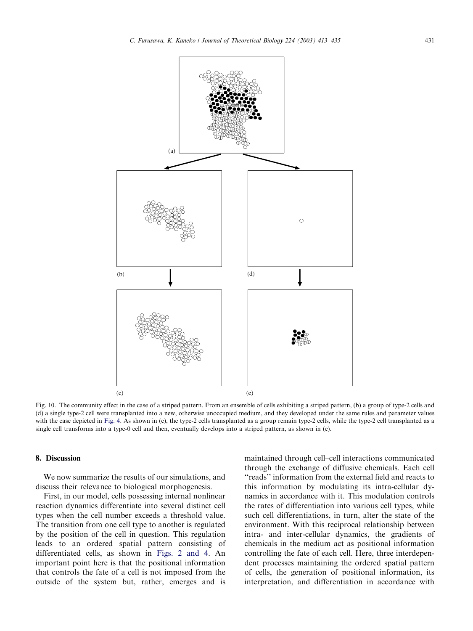<span id="page-18-0"></span>

Fig. 10. The community effect in the case of a striped pattern. From an ensemble of cells exhibiting a striped pattern, (b) a group of type-2 cells and (d) a single type-2 cell were transplanted into a new, otherwise unoccupied medium, and they developed under the same rules and parameter values with the case depicted in [Fig. 4](#page-10-0). As shown in (c), the type-2 cells transplanted as a group remain type-2 cells, while the type-2 cell transplanted as a single cell transforms into a type-0 cell and then, eventually develops into a striped pattern, as shown in (e).

# 8. Discussion

We now summarize the results of our simulations, and discuss their relevance to biological morphogenesis.

First, in our model, cells possessing internal nonlinear reaction dynamics differentiate into several distinct cell types when the cell number exceeds a threshold value. The transition from one cell type to another is regulated by the position of the cell in question. This regulation leads to an ordered spatial pattern consisting of differentiated cells, as shown in [Figs. 2 and 4](#page-7-0). An important point here is that the positional information that controls the fate of a cell is not imposed from the outside of the system but, rather, emerges and is maintained through cell–cell interactions communicated through the exchange of diffusive chemicals. Each cell ''reads'' information from the external field and reacts to this information by modulating its intra-cellular dynamics in accordance with it. This modulation controls the rates of differentiation into various cell types, while such cell differentiations, in turn, alter the state of the environment. With this reciprocal relationship between intra- and inter-cellular dynamics, the gradients of chemicals in the medium act as positional information controlling the fate of each cell. Here, three interdependent processes maintaining the ordered spatial pattern of cells, the generation of positional information, its interpretation, and differentiation in accordance with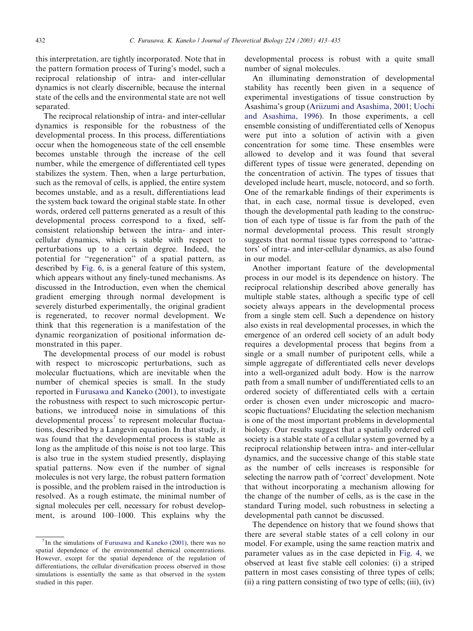this interpretation, are tightly incorporated. Note that in the pattern formation process of Turing's model, such a reciprocal relationship of intra- and inter-cellular dynamics is not clearly discernible, because the internal state of the cells and the environmental state are not well separated.

The reciprocal relationship of intra- and inter-cellular dynamics is responsible for the robustness of the developmental process. In this process, differentiations occur when the homogeneous state of the cell ensemble becomes unstable through the increase of the cell number, while the emergence of differentiated cell types stabilizes the system. Then, when a large perturbation, such as the removal of cells, is applied, the entire system becomes unstable, and as a result, differentiations lead the system back toward the original stable state. In other words, ordered cell patterns generated as a result of this developmental process correspond to a fixed, selfconsistent relationship between the intra- and intercellular dynamics, which is stable with respect to perturbations up to a certain degree. Indeed, the potential for ''regeneration'' of a spatial pattern, as described by [Fig. 6](#page-12-0), is a general feature of this system, which appears without any finely-tuned mechanisms. As discussed in the Introduction, even when the chemical gradient emerging through normal development is severely disturbed experimentally, the original gradient is regenerated, to recover normal development. We think that this regeneration is a manifestation of the dynamic reorganization of positional information demonstrated in this paper.

The developmental process of our model is robust with respect to microscopic perturbations, such as molecular fluctuations, which are inevitable when the number of chemical species is small. In the study reported in [Furusawa and Kaneko \(2001\),](#page-21-0) to investigate the robustness with respect to such microscopic perturbations, we introduced noise in simulations of this developmental process<sup>7</sup> to represent molecular fluctuations, described by a Langevin equation. In that study, it was found that the developmental process is stable as long as the amplitude of this noise is not too large. This is also true in the system studied presently, displaying spatial patterns. Now even if the number of signal molecules is not very large, the robust pattern formation is possible, and the problem raised in the introduction is resolved. As a rough estimate, the minimal number of signal molecules per cell, necessary for robust development, is around 100–1000. This explains why the developmental process is robust with a quite small number of signal molecules.

An illuminating demonstration of developmental stability has recently been given in a sequence of experimental investigations of tissue construction by Asashima's group([Ariizumi and Asashima, 2001](#page-21-0); [Uochi](#page-22-0) [and Asashima, 1996\)](#page-22-0). In those experiments, a cell ensemble consisting of undifferentiated cells of Xenopus were put into a solution of activin with a given concentration for some time. These ensembles were allowed to develop and it was found that several different types of tissue were generated, depending on the concentration of activin. The types of tissues that developed include heart, muscle, notocord, and so forth. One of the remarkable findings of their experiments is that, in each case, normal tissue is developed, even though the developmental path leading to the construction of each type of tissue is far from the path of the normal developmental process. This result strongly suggests that normal tissue types correspond to 'attractors' of intra- and inter-cellular dynamics, as also found in our model.

Another important feature of the developmental process in our model is its dependence on history. The reciprocal relationship described above generally has multiple stable states, although a specific type of cell society always appears in the developmental process from a single stem cell. Such a dependence on history also exists in real developmental processes, in which the emergence of an ordered cell society of an adult body requires a developmental process that begins from a single or a small number of puripotent cells, while a simple aggregate of differentiated cells never develops into a well-organized adult body. How is the narrow path from a small number of undifferentiated cells to an ordered society of differentiated cells with a certain order is chosen even under microscopic and macroscopic fluctuations? Elucidating the selection mechanism is one of the most important problems in developmental biology. Our results suggest that a spatially ordered cell society is a stable state of a cellular system governed by a reciprocal relationship between intra- and inter-cellular dynamics, and the successive change of this stable state as the number of cells increases is responsible for selecting the narrow path of 'correct' development. Note that without incorporating a mechanism allowing for the change of the number of cells, as is the case in the standard Turing model, such robustness in selecting a developmental path cannot be discussed.

The dependence on history that we found shows that there are several stable states of a cell colony in our model. For example, using the same reaction matrix and parameter values as in the case depicted in [Fig. 4,](#page-10-0) we observed at least five stable cell colonies: (i) a striped pattern in most cases consisting of three types of cells; (ii) a ring pattern consisting of two type of cells; (iii), (iv)

 $7$ In the simulations of [Furusawa and Kaneko \(2001\),](#page-21-0) there was no spatial dependence of the environmental chemical concentrations. However, except for the spatial dependence of the regulation of differentiations, the cellular diversification process observed in those simulations is essentially the same as that observed in the system studied in this paper.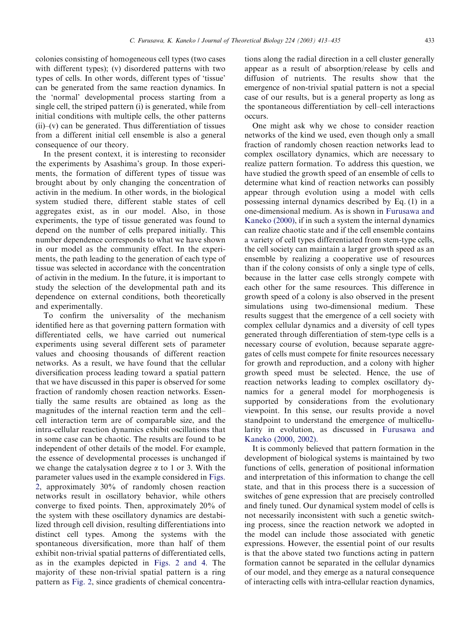colonies consisting of homogeneous cell types (two cases with different types); (v) disordered patterns with two types of cells. In other words, different types of 'tissue' can be generated from the same reaction dynamics. In the 'normal' developmental process starting from a single cell, the striped pattern (i) is generated, while from initial conditions with multiple cells, the other patterns  $(ii)$ – $(v)$  can be generated. Thus differentiation of tissues from a different initial cell ensemble is also a general consequence of our theory.

In the present context, it is interesting to reconsider the experiments by Asashima's group. In those experiments, the formation of different types of tissue was brought about by only changing the concentration of activin in the medium. In other words, in the biological system studied there, different stable states of cell aggregates exist, as in our model. Also, in those experiments, the type of tissue generated was found to depend on the number of cells prepared initially. This number dependence corresponds to what we have shown in our model as the community effect. In the experiments, the path leading to the generation of each type of tissue was selected in accordance with the concentration of activin in the medium. In the future, it is important to study the selection of the developmental path and its dependence on external conditions, both theoretically and experimentally.

To confirm the universality of the mechanism identified here as that governing pattern formation with differentiated cells, we have carried out numerical experiments using several different sets of parameter values and choosing thousands of different reaction networks. As a result, we have found that the cellular diversification process leading toward a spatial pattern that we have discussed in this paper is observed for some fraction of randomly chosen reaction networks. Essentially the same results are obtained as long as the magnitudes of the internal reaction term and the cell– cell interaction term are of comparable size, and the intra-cellular reaction dynamics exhibit oscillations that in some case can be chaotic. The results are found to be independent of other details of the model. For example, the essence of developmental processes is unchanged if we change the catalysation degree  $\alpha$  to 1 or 3. With the parameter values used in the example considered in [Figs.](#page-7-0) [2,](#page-7-0) approximately 30% of randomly chosen reaction networks result in oscillatory behavior, while others converge to fixed points. Then, approximately 20% of the system with these oscillatory dynamics are destabilized through cell division, resulting differentiations into distinct cell types. Among the systems with the spontaneous diversification, more than half of them exhibit non-trivial spatial patterns of differentiated cells, as in the examples depicted in [Figs. 2 and 4.](#page-7-0) The majority of these non-trivial spatial pattern is a ring pattern as [Fig. 2](#page-7-0), since gradients of chemical concentrations along the radial direction in a cell cluster generally appear as a result of absorption/release by cells and diffusion of nutrients. The results show that the emergence of non-trivial spatial pattern is not a special case of our results, but is a general property as long as the spontaneous differentiation by cell–cell interactions occurs.

One might ask why we chose to consider reaction networks of the kind we used, even though only a small fraction of randomly chosen reaction networks lead to complex oscillatory dynamics, which are necessary to realize pattern formation. To address this question, we have studied the growth speed of an ensemble of cells to determine what kind of reaction networks can possibly appear through evolution using a model with cells possessing internal dynamics described by Eq. (1) in a one-dimensional medium. As is shown in [Furusawa and](#page-21-0) [Kaneko \(2000\)](#page-21-0), if in such a system the internal dynamics can realize chaotic state and if the cell ensemble contains a variety of cell types differentiated from stem-type cells, the cell society can maintain a larger growth speed as an ensemble by realizing a cooperative use of resources than if the colony consists of only a single type of cells, because in the latter case cells strongly compete with each other for the same resources. This difference in growth speed of a colony is also observed in the present simulations using two-dimensional medium. These results suggest that the emergence of a cell society with complex cellular dynamics and a diversity of cell types generated through differentiation of stem-type cells is a necessary course of evolution, because separate aggregates of cells must compete for finite resources necessary for growth and reproduction, and a colony with higher growth speed must be selected. Hence, the use of reaction networks leading to complex oscillatory dynamics for a general model for morphogenesis is supported by considerations from the evolutionary viewpoint. In this sense, our results provide a novel standpoint to understand the emergence of multicellularity in evolution, as discussed in [Furusawa and](#page-21-0) [Kaneko \(2000, 2002\).](#page-21-0)

It is commonly believed that pattern formation in the development of biological systems is maintained by two functions of cells, generation of positional information and interpretation of this information to change the cell state, and that in this process there is a succession of switches of gene expression that are precisely controlled and finely tuned. Our dynamical system model of cells is not necessarily inconsistent with such a genetic switching process, since the reaction network we adopted in the model can include those associated with genetic expressions. However, the essential point of our results is that the above stated two functions acting in pattern formation cannot be separated in the cellular dynamics of our model, and they emerge as a natural consequence of interacting cells with intra-cellular reaction dynamics,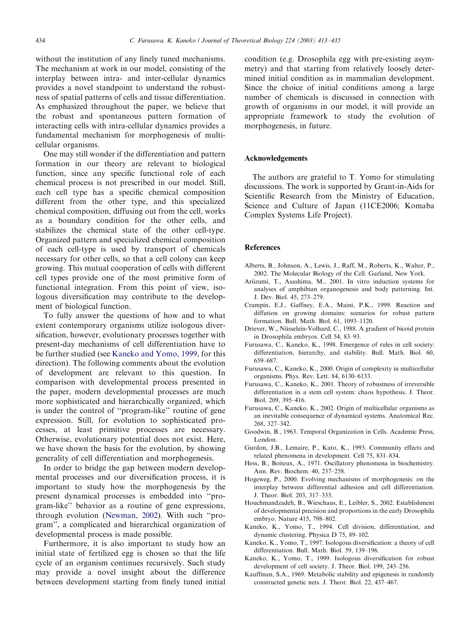<span id="page-21-0"></span>without the institution of any finely tuned mechanisms. The mechanism at work in our model, consisting of the interplay between intra- and inter-cellular dynamics provides a novel standpoint to understand the robustness of spatial patterns of cells and tissue differentiation. As emphasized throughout the paper, we believe that the robust and spontaneous pattern formation of interacting cells with intra-cellular dynamics provides a fundamental mechanism for morphogenesis of multicellular organisms.

One may still wonder if the differentiation and pattern formation in our theory are relevant to biological function, since any specific functional role of each chemical process is not prescribed in our model. Still, each cell type has a specific chemical composition different from the other type, and this specialized chemical composition, diffusing out from the cell, works as a boundary condition for the other cells, and stabilizes the chemical state of the other cell-type. Organized pattern and specialized chemical composition of each cell-type is used by transport of chemicals necessary for other cells, so that a cell colony can keep growing. This mutual cooperation of cells with different cell types provide one of the most primitive form of functional integration. From this point of view, isologous diversification may contribute to the development of biological function.

To fully answer the questions of how and to what extent contemporary organisms utilize isologous diversification, however, evolutionary processes together with present-day mechanisms of cell differentiation have to be further studied (see Kaneko and Yomo, 1999, for this direction). The following comments about the evolution of development are relevant to this question. In comparison with developmental process presented in the paper, modern developmental processes are much more sophisticated and hierarchically organized, which is under the control of ''program-like'' routine of gene expression. Still, for evolution to sophisticated processes, at least primitive processes are necessary. Otherwise, evolutionary potential does not exist. Here, we have shown the basis for the evolution, by showing generality of cell differentiation and morphogenesis.

In order to bridge the gap between modern developmental processes and our diversification process, it is important to study how the morphogenesis by the present dynamical processes is embedded into ''program-like'' behavior as a routine of gene expressions, through evolution [\(Newman, 2002\)](#page-22-0). With such ''program'', a complicated and hierarchical organization of developmental process is made possible.

Furthermore, it is also important to study how an initial state of fertilized egg is chosen so that the life cycle of an organism continues recursively. Such study may provide a novel insight about the difference between development starting from finely tuned initial condition (e.g. Drosophila egg with pre-existing asymmetry) and that starting from relatively loosely determined initial condition as in mammalian development. Since the choice of initial conditions among a large number of chemicals is discussed in connection with growth of organisms in our model, it will provide an appropriate framework to study the evolution of morphogenesis, in future.

### Acknowledgements

The authors are grateful to T. Yomo for stimulating discussions. The work is supported by Grant-in-Aids for Scientific Research from the Ministry of Education, Science and Culture of Japan (11CE2006; Komaba Complex Systems Life Project).

#### References

- Alberts, B., Johnson, A., Lewis, J., Raff, M., Roberts, K., Walter, P., 2002. The Molecular Biology of the Cell. Garland, New York.
- Ariizumi, T., Asashima, M., 2001. In vitro induction systems for analyses of amphibian organogenesis and body patterning. Int. J. Dev. Biol. 45, 273–279.
- Crampin, E.J., Gaffney, E.A., Maini, P.K., 1999. Reaction and diffution on growing domains: scenarios for robust pattern formation. Bull. Math. Biol. 61, 1093–1120.
- Driever, W., Nüsselein-Volhard, C., 1988. A gradient of bicoid protein in Drosophila embryos. Cell 54, 83–93.
- Furusawa, C., Kaneko, K., 1998. Emergence of rules in cell society: differentiation, hierarchy, and stability. Bull. Math. Biol. 60, 659–687.
- Furusawa, C., Kaneko, K., 2000. Origin of complexity in multicellular organisms. Phys. Rev. Lett. 84, 6130–6133.
- Furusawa, C., Kaneko, K., 2001. Theory of robustness of irreversible differentiation in a stem cell system: chaos hypothesis. J. Theor. Biol. 209, 395–416.
- Furusawa, C., Kaneko, K., 2002. Origin of multicellular organisms as an inevitable consequence of dynamical systems. Anatomical Rec. 268, 327–342.
- Goodwin, B., 1963. Temporal Organization in Cells. Academic Press, London.
- Gurdon, J.B., Lemaire, P., Kato, K., 1993. Community effects and related phenomena in development. Cell 75, 831–834.
- Hess, B., Boiteux, A., 1971. Oscillatory phenomena in biochemistry. Ann. Rev. Biochem. 40, 237–258.
- Hogeweg, P., 2000. Evolving mechanisms of morphogenesis: on the interplay between differential adhesion and cell differentiation. J. Theor. Biol. 203, 317–333.
- Houchmandzadeh, B., Wieschaus, E., Leibler, S., 2002. Establishment of developmental precision and proportions in the early Drosophila embryo. Nature 415, 798–802.
- Kaneko, K., Yomo, T., 1994. Cell division, differentiation, and dynamic clustering. Physica D 75, 89–102.
- Kaneko, K., Yomo, T., 1997. Isologous diversification: a theory of cell differentiation. Bull. Math. Biol. 59, 139–196.
- Kaneko, K., Yomo, T., 1999. Isologous diversification for robust development of cell society. J. Theor. Biol. 199, 243–256.
- Kauffman, S.A., 1969. Metabolic stability and epigenesis in randomly constructed genetic nets. J. Theor. Biol. 22, 437–467.